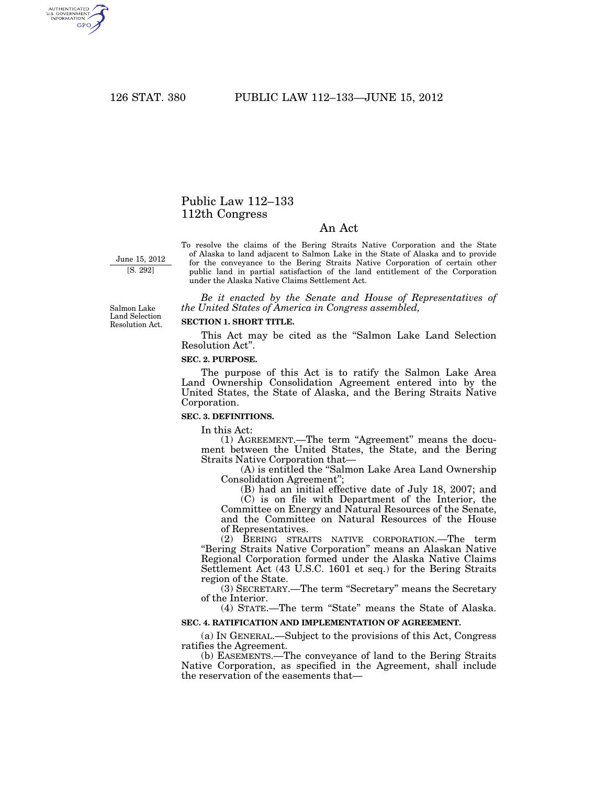AUTHENTICATED<br>U.S. GOVERNMENT<br>INFORMATION **GPO** 

# Public Law 112–133 112th Congress

## An Act

June 15, 2012

[S. 292]

To resolve the claims of the Bering Straits Native Corporation and the State of Alaska to land adjacent to Salmon Lake in the State of Alaska and to provide for the conveyance to the Bering Straits Native Corporation of certain other public land in partial satisfaction of the land entitlement of the Corporation under the Alaska Native Claims Settlement Act.

*Be it enacted by the Senate and House of Representatives of the United States of America in Congress assembled,* 

Salmon Lake Land Selection Resolution Act.

#### **SECTION 1. SHORT TITLE.**

This Act may be cited as the ''Salmon Lake Land Selection Resolution Act''.

### **SEC. 2. PURPOSE.**

The purpose of this Act is to ratify the Salmon Lake Area Land Ownership Consolidation Agreement entered into by the United States, the State of Alaska, and the Bering Straits Native Corporation.

#### **SEC. 3. DEFINITIONS.**

In this Act:

(1) AGREEMENT.—The term "Agreement" means the document between the United States, the State, and the Bering Straits Native Corporation that—

(A) is entitled the ''Salmon Lake Area Land Ownership Consolidation Agreement'';

(B) had an initial effective date of July 18, 2007; and (C) is on file with Department of the Interior, the Committee on Energy and Natural Resources of the Senate, and the Committee on Natural Resources of the House of Representatives.

(2) BERING STRAITS NATIVE CORPORATION.—The term ''Bering Straits Native Corporation'' means an Alaskan Native Regional Corporation formed under the Alaska Native Claims Settlement Act (43 U.S.C. 1601 et seq.) for the Bering Straits region of the State.

(3) SECRETARY.—The term ''Secretary'' means the Secretary of the Interior.

(4) STATE.—The term ''State'' means the State of Alaska. **SEC. 4. RATIFICATION AND IMPLEMENTATION OF AGREEMENT.** 

(a) IN GENERAL.—Subject to the provisions of this Act, Congress ratifies the Agreement.

(b) EASEMENTS.—The conveyance of land to the Bering Straits Native Corporation, as specified in the Agreement, shall include the reservation of the easements that